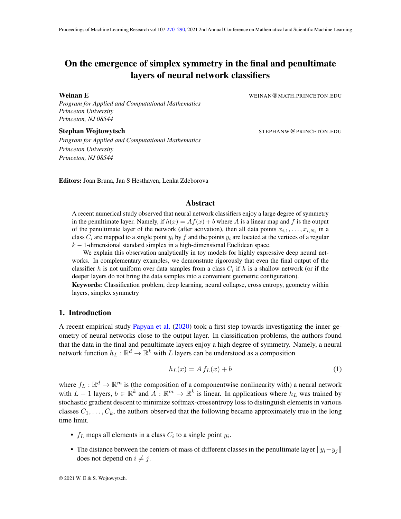# <span id="page-0-0"></span>On the emergence of simplex symmetry in the final and penultimate layers of neural network classifiers

*Program for Applied and Computational Mathematics Princeton University Princeton, NJ 08544*

Weinan E **Weinan E** WEINAN WEINAN (WEINAN @MATH.PRINCETON.EDU

Stephan Wojtowytsch **Stephan Wojtowytsch Stephan Wojtowytsch STEPHANW**@PRINCETON.EDU

*Program for Applied and Computational Mathematics Princeton University Princeton, NJ 08544*

Editors: Joan Bruna, Jan S Hesthaven, Lenka Zdeborova

## Abstract

A recent numerical study observed that neural network classifiers enjoy a large degree of symmetry in the penultimate layer. Namely, if  $h(x) = Af(x) + b$  where A is a linear map and f is the output of the penultimate layer of the network (after activation), then all data points  $x_{i,1}, \ldots, x_{i,N_i}$  in a class  $C_i$  are mapped to a single point  $y_i$  by f and the points  $y_i$  are located at the vertices of a regular  $k-1$ -dimensional standard simplex in a high-dimensional Euclidean space.

We explain this observation analytically in toy models for highly expressive deep neural networks. In complementary examples, we demonstrate rigorously that even the final output of the classifier h is not uniform over data samples from a class  $C_i$  if h is a shallow network (or if the deeper layers do not bring the data samples into a convenient geometric configuration).

Keywords: Classification problem, deep learning, neural collapse, cross entropy, geometry within layers, simplex symmetry

## 1. Introduction

A recent empirical study [Papyan et al.](#page-14-0) [\(2020\)](#page-14-0) took a first step towards investigating the inner geometry of neural networks close to the output layer. In classification problems, the authors found that the data in the final and penultimate layers enjoy a high degree of symmetry. Namely, a neural network function  $h_L : \mathbb{R}^d \to \mathbb{R}^k$  with L layers can be understood as a composition

$$
h_L(x) = A f_L(x) + b \tag{1}
$$

where  $f_L : \mathbb{R}^d \to \mathbb{R}^m$  is (the composition of a componentwise nonlinearity with) a neural network with  $L-1$  layers,  $b \in \mathbb{R}^k$  and  $A: \mathbb{R}^m \to \mathbb{R}^k$  is linear. In applications where  $h_L$  was trained by stochastic gradient descent to minimize softmax-crossentropy loss to distinguish elements in various classes  $C_1, \ldots, C_k$ , the authors observed that the following became approximately true in the long time limit.

- $f_L$  maps all elements in a class  $C_i$  to a single point  $y_i$ .
- The distance between the centers of mass of different classes in the penultimate layer  $||y_i-y_i||$ does not depend on  $i \neq j$ .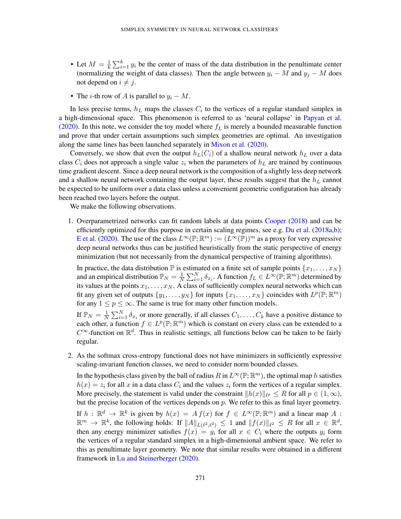- Let  $M=\frac{1}{k}$  $\frac{1}{k} \sum_{i=1}^{k} y_i$  be the center of mass of the data distribution in the penultimate center (normalizing the weight of data classes). Then the angle between  $y_i - M$  and  $y_j - M$  does not depend on  $i \neq j$ .
- The *i*-th row of A is parallel to  $y_i M$ .

In less precise terms,  $h_L$  maps the classes  $C_i$  to the vertices of a regular standard simplex in a high-dimensional space. This phenomenon is referred to as 'neural collapse' in [Papyan et al.](#page-14-0) [\(2020\)](#page-14-0). In this note, we consider the toy model where  $f_L$  is merely a bounded measurable function and prove that under certain assumptions such simplex geometries are optimal. An investigation along the same lines has been launched separately in [Mixon et al.](#page-14-1) [\(2020\)](#page-14-1).

Conversely, we show that even the output  $h_L(C_i)$  of a shallow neural network  $h_L$  over a data class  $C_i$  does not approach a single value  $z_i$  when the parameters of  $h<sub>L</sub>$  are trained by continuous time gradient descent. Since a deep neural network is the composition of a slightly less deep network and a shallow neural network containing the output layer, these results suggest that the  $h<sub>L</sub>$  cannot be expected to be uniform over a data class unless a convenient geometric configuration has already been reached two layers before the output.

We make the following observations.

1. Overparametrized networks can fit random labels at data points [Cooper](#page-13-0) [\(2018\)](#page-13-0) and can be efficiently optimized for this purpose in certain scaling regimes, see e.g. [Du et al.](#page-13-1) [\(2018a](#page-13-1)[,b\)](#page-14-2); [E et al.](#page-14-3) [\(2020\)](#page-14-3). The use of the class  $L^{\infty}(\mathbb{P}; \mathbb{R}^m) := (L^{\infty}(\mathbb{P}))^m$  as a proxy for very expressive deep neural networks thus can be justified heuristically from the static perspective of energy minimization (but not necessarily from the dynamical perspective of training algorithms).

In practice, the data distribution  $\mathbb P$  is estimated on a finite set of sample points  $\{x_1, \ldots, x_N\}$ and an empirical distribution  $\mathbb{P}_N = \frac{1}{N}$  $\frac{1}{N} \sum_{i=1}^{N} \delta_{x_i}$ . A function  $f_L \in L^{\infty}(\mathbb{P}; \mathbb{R}^m)$  determined by its values at the points  $x_1, \ldots, x_N$ . A class of sufficiently complex neural networks which can fit any given set of outputs  $\{y_1, \ldots, y_N\}$  for inputs  $\{x_1, \ldots, x_N\}$  coincides with  $L^p(\mathbb{P}; \mathbb{R}^m)$ for any  $1 \le p \le \infty$ . The same is true for many other function models.

If  $\mathbb{P}_N = \frac{1}{N}$  $\frac{1}{N} \sum_{i=1}^{N} \delta_{x_i}$  or more generally, if all classes  $C_1, \ldots, C_k$  have a positive distance to each other, a function  $f \in L^p(\mathbb{P}; \mathbb{R}^m)$  which is constant on every class can be extended to a  $C^{\infty}$ -function on  $\mathbb{R}^d$ . Thus in realistic settings, all functions below can be taken to be fairly regular.

2. As the softmax cross-entropy functional does not have minimizers in sufficiently expressive scaling-invariant function classes, we need to consider norm bounded classes.

In the hypothesis class given by the ball of radius  $R$  in  $L^{\infty}(\mathbb{P}; \mathbb{R}^m)$ , the optimal map h satisfies  $h(x) = z_i$  for all x in a data class  $C_i$  and the values  $z_i$  form the vertices of a regular simplex. More precisely, the statement is valid under the constraint  $||h(x)||_{\ell^p} \leq R$  for all  $p \in (1,\infty)$ , but the precise location of the vertices depends on  $p$ . We refer to this as final layer geometry.

If  $h : \mathbb{R}^d \to \mathbb{R}^k$  is given by  $h(x) = A f(x)$  for  $f \in L^{\infty}(\mathbb{P}; \mathbb{R}^m)$  and a linear map A :  $\mathbb{R}^m \to \mathbb{R}^k$ , the following holds: If  $||A||_{L(\ell^2,\ell^2)} \leq 1$  and  $||f(x)||_{\ell^2} \leq R$  for all  $x \in \mathbb{R}^d$ , then any energy minimizer satisfies  $f(x) = y_i$  for all  $x \in C_i$  where the outputs  $y_i$  form the vertices of a regular standard simplex in a high-dimensional ambient space. We refer to this as penultimate layer geometry. We note that similar results were obtained in a different framework in [Lu and Steinerberger](#page-14-4) [\(2020\)](#page-14-4).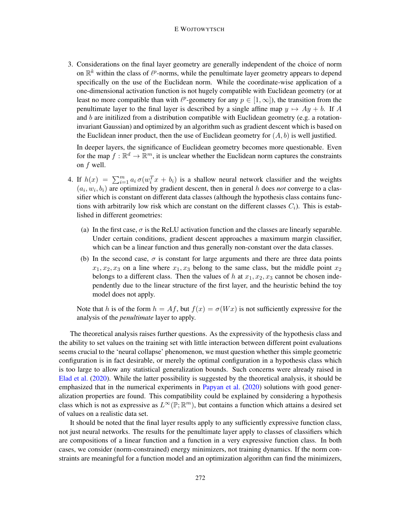### E WOJTOWYTSCH

3. Considerations on the final layer geometry are generally independent of the choice of norm on  $\mathbb{R}^k$  within the class of  $\ell^p$ -norms, while the penultimate layer geometry appears to depend specifically on the use of the Euclidean norm. While the coordinate-wise application of a one-dimensional activation function is not hugely compatible with Euclidean geometry (or at least no more compatible than with  $\ell^p$ -geometry for any  $p \in [1,\infty]$ ), the transition from the penultimate layer to the final layer is described by a single affine map  $y \mapsto Ay + b$ . If A and  $b$  are initilized from a distribution compatible with Euclidean geometry (e.g. a rotationinvariant Gaussian) and optimized by an algorithm such as gradient descent which is based on the Euclidean inner product, then the use of Euclidean geometry for  $(A, b)$  is well justified.

In deeper layers, the significance of Euclidean geometry becomes more questionable. Even for the map  $f : \mathbb{R}^d \to \mathbb{R}^m$ , it is unclear whether the Euclidean norm captures the constraints on f well.

- 4. If  $h(x) = \sum_{i=1}^{m} a_i \sigma(w_i^T x + b_i)$  is a shallow neural network classifier and the weights  $(a_i, w_i, b_i)$  are optimized by gradient descent, then in general h does not converge to a classifier which is constant on different data classes (although the hypothesis class contains functions with arbitrarily low risk which are constant on the different classes  $C_i$ ). This is established in different geometries:
	- (a) In the first case,  $\sigma$  is the ReLU activation function and the classes are linearly separable. Under certain conditions, gradient descent approaches a maximum margin classifier, which can be a linear function and thus generally non-constant over the data classes.
	- (b) In the second case,  $\sigma$  is constant for large arguments and there are three data points  $x_1, x_2, x_3$  on a line where  $x_1, x_3$  belong to the same class, but the middle point  $x_2$ belongs to a different class. Then the values of h at  $x_1, x_2, x_3$  cannot be chosen independently due to the linear structure of the first layer, and the heuristic behind the toy model does not apply.

Note that h is of the form  $h = Af$ , but  $f(x) = \sigma(Wx)$  is not sufficiently expressive for the analysis of the *penultimate* layer to apply.

The theoretical analysis raises further questions. As the expressivity of the hypothesis class and the ability to set values on the training set with little interaction between different point evaluations seems crucial to the 'neural collapse' phenomenon, we must question whether this simple geometric configuration is in fact desirable, or merely the optimal configuration in a hypothesis class which is too large to allow any statistical generalization bounds. Such concerns were already raised in [Elad et al.](#page-14-5) [\(2020\)](#page-14-5). While the latter possibility is suggested by the theoretical analysis, it should be emphasized that in the numerical experiments in [Papyan et al.](#page-14-0) [\(2020\)](#page-14-0) solutions with good generalization properties are found. This compatibility could be explained by considering a hypothesis class which is not as expressive as  $L^{\infty}(\mathbb{P}; \mathbb{R}^m)$ , but contains a function which attains a desired set of values on a realistic data set.

It should be noted that the final layer results apply to any sufficiently expressive function class, not just neural networks. The results for the penultimate layer apply to classes of classifiers which are compositions of a linear function and a function in a very expressive function class. In both cases, we consider (norm-constrained) energy minimizers, not training dynamics. If the norm constraints are meaningful for a function model and an optimization algorithm can find the minimizers,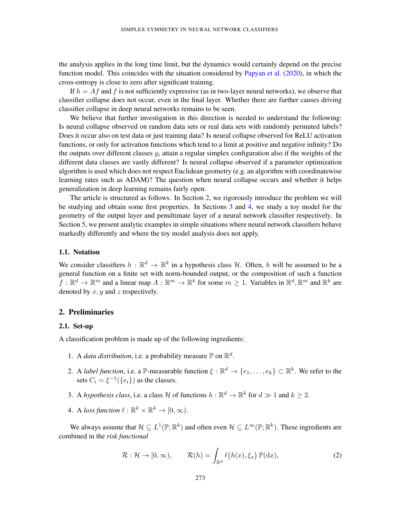the analysis applies in the long time limit, but the dynamics would certainly depend on the precise function model. This coincides with the situation considered by [Papyan et al.](#page-14-0) [\(2020\)](#page-14-0), in which the cross-entropy is close to zero after significant training.

If  $h = Af$  and f is not sufficiently expressive (as in two-layer neural networks), we observe that classifier collapse does not occur, even in the final layer. Whether there are further causes driving classifier collapse in deep neural networks remains to be seen.

We believe that further investigation in this direction is needed to understand the following: Is neural collapse observed on random data sets or real data sets with randomly permuted labels? Does it occur also on test data or just training data? Is neural collapse observed for ReLU activation functions, or only for activation functions which tend to a limit at positive and negative infinity? Do the outputs over different classes  $y_i$  attain a regular simplex configuration also if the weights of the different data classes are vastly different? Is neural collapse observed if a parameter optimization algorithm is used which does not respect Euclidean geometry (e.g. an algorithm with coordinatewise learning rates such as ADAM)? The question when neural collapse occurs and whether it helps generalization in deep learning remains fairly open.

The article is structured as follows. In Section [2,](#page-3-0) we rigorously introduce the problem we will be studying and obtain some first properties. In Sections [3](#page-5-0) and [4,](#page-7-0) we study a toy model for the geometry of the output layer and penultimate layer of a neural network classifier respectively. In Section [5,](#page-10-0) we present analytic examples in simple situations where neural network classifiers behave markedly differently and where the toy model analysis does not apply.

## 1.1. Notation

We consider classifiers  $h : \mathbb{R}^d \to \mathbb{R}^k$  in a hypothesis class H. Often, h will be assumed to be a general function on a finite set with norm-bounded output, or the composition of such a function  $f: \mathbb{R}^d \to \mathbb{R}^m$  and a linear map  $A: \mathbb{R}^m \to \mathbb{R}^k$  for some  $m \geq 1$ . Variables in  $\mathbb{R}^d, \mathbb{R}^m$  and  $\mathbb{R}^k$  are denoted by  $x, y$  and  $z$  respectively.

## <span id="page-3-0"></span>2. Preliminaries

## 2.1. Set-up

A classification problem is made up of the following ingredients:

- 1. A *data distribution*, i.e. a probability measure  $\mathbb P$  on  $\mathbb R^d$ .
- 2. A *label function*, i.e. a P-measurable function  $\xi : \mathbb{R}^d \to \{e_1, \ldots, e_k\} \subset \mathbb{R}^k$ . We refer to the sets  $C_i = \xi^{-1}(\{e_i\})$  as the classes.
- 3. A *hypothesis class*, i.e. a class H of functions  $h : \mathbb{R}^d \to \mathbb{R}^k$  for  $d \gg 1$  and  $k \geq 2$ .
- 4. A loss function  $\ell : \mathbb{R}^k \times \mathbb{R}^k \to [0, \infty)$ .

We always assume that  $\mathcal{H} \subseteq L^1(\mathbb{P}; \mathbb{R}^k)$  and often even  $\mathcal{H} \subseteq L^\infty(\mathbb{P}; \mathbb{R}^k)$ . These ingredients are combined in the *risk functional*

$$
\mathcal{R}: \mathcal{H} \to [0, \infty), \qquad \mathcal{R}(h) = \int_{\mathbb{R}^d} \ell(h(x), \xi_x) \, \mathbb{P}(\mathrm{d}x), \tag{2}
$$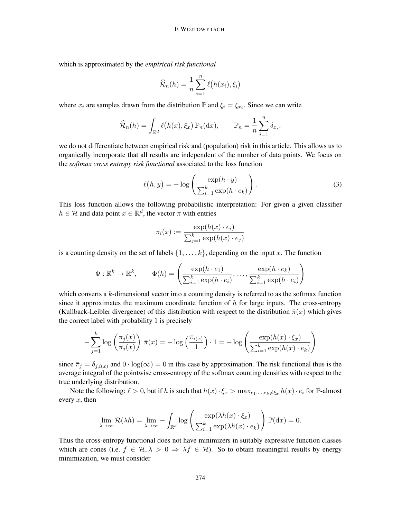which is approximated by the *empirical risk functional*

$$
\widehat{\mathcal{R}}_n(h) = \frac{1}{n} \sum_{i=1}^n \ell(h(x_i), \xi_i)
$$

where  $x_i$  are samples drawn from the distribution  $\mathbb P$  and  $\xi_i = \xi_{x_i}$ . Since we can write

$$
\widehat{\mathcal{R}}_n(h) = \int_{\mathbb{R}^d} \ell(h(x), \xi_x) \, \mathbb{P}_n(\mathrm{d}x), \qquad \mathbb{P}_n = \frac{1}{n} \sum_{i=1}^n \delta_{x_i},
$$

we do not differentiate between empirical risk and (population) risk in this article. This allows us to organically incorporate that all results are independent of the number of data points. We focus on the *softmax cross entropy risk functional* associated to the loss function

$$
\ell(h, y) = -\log\left(\frac{\exp(h \cdot y)}{\sum_{i=1}^{k} \exp(h \cdot e_k)}\right).
$$
\n(3)

This loss function allows the following probabilistic interpretation: For given a given classifier  $h \in \mathcal{H}$  and data point  $x \in \mathbb{R}^d$ , the vector  $\pi$  with entries

$$
\pi_i(x) := \frac{\exp(h(x) \cdot e_i)}{\sum_{j=1}^k \exp(h(x) \cdot e_j)}
$$

is a counting density on the set of labels  $\{1, \ldots, k\}$ , depending on the input x. The function

$$
\Phi : \mathbb{R}^k \to \mathbb{R}^k, \qquad \Phi(h) = \left( \frac{\exp(h \cdot e_1)}{\sum_{i=1}^k \exp(h \cdot e_i)}, \dots, \frac{\exp(h \cdot e_k)}{\sum_{i=1}^k \exp(h \cdot e_i)} \right)
$$

which converts a  $k$ -dimensional vector into a counting density is referred to as the softmax function since it approximates the maximum coordinate function of  $h$  for large inputs. The cross-entropy (Kullback-Leibler divergence) of this distribution with respect to the distribution  $\bar{\pi}(x)$  which gives the correct label with probability 1 is precisely

$$
-\sum_{j=1}^{k} \log\left(\frac{\pi_j(x)}{\bar{\pi}_j(x)}\right) \bar{\pi}(x) = -\log\left(\frac{\pi_{i(x)}}{1}\right) \cdot 1 = -\log\left(\frac{\exp(h(x) \cdot \xi_x)}{\sum_{i=1}^{k} \exp(h(x) \cdot e_k)}\right)
$$

since  $\bar{\pi}_j = \delta_{j,i(x)}$  and  $0 \cdot \log(\infty) = 0$  in this case by approximation. The risk functional thus is the average integral of the pointwise cross-entropy of the softmax counting densities with respect to the true underlying distribution.

Note the following:  $\ell > 0$ , but if h is such that  $h(x) \cdot \xi_x > \max_{e_1, \dots, e_k \neq \xi_x} h(x) \cdot e_i$  for P-almost every  $x$ , then

$$
\lim_{\lambda \to \infty} \mathcal{R}(\lambda h) = \lim_{\lambda \to \infty} -\int_{\mathbb{R}^d} \log \left( \frac{\exp(\lambda h(x) \cdot \xi_x)}{\sum_{i=1}^k \exp(\lambda h(x) \cdot e_k)} \right) \mathbb{P}(\mathrm{d}x) = 0.
$$

Thus the cross-entropy functional does not have minimizers in suitably expressive function classes which are cones (i.e.  $f \in \mathcal{H}, \lambda > 0 \Rightarrow \lambda f \in \mathcal{H}$ ). So to obtain meaningful results by energy minimization, we must consider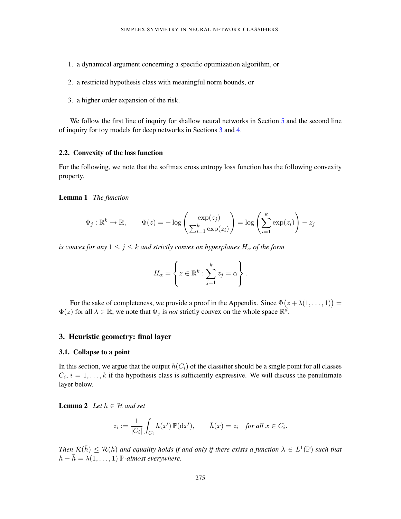- 1. a dynamical argument concerning a specific optimization algorithm, or
- 2. a restricted hypothesis class with meaningful norm bounds, or
- 3. a higher order expansion of the risk.

We follow the first line of inquiry for shallow neural networks in Section [5](#page-10-0) and the second line of inquiry for toy models for deep networks in Sections [3](#page-5-0) and [4.](#page-7-0)

## 2.2. Convexity of the loss function

For the following, we note that the softmax cross entropy loss function has the following convexity property.

## <span id="page-5-1"></span>Lemma 1 *The function*

$$
\Phi_j : \mathbb{R}^k \to \mathbb{R}, \qquad \Phi(z) = -\log\left(\frac{\exp(z_j)}{\sum_{i=1}^k \exp(z_i)}\right) = \log\left(\sum_{i=1}^k \exp(z_i)\right) - z_j
$$

*is convex for any*  $1 \leq j \leq k$  *and strictly convex on hyperplanes*  $H_{\alpha}$  *of the form* 

$$
H_{\alpha} = \left\{ z \in \mathbb{R}^{k} : \sum_{j=1}^{k} z_{j} = \alpha \right\}.
$$

For the sake of completeness, we provide a proof in the Appendix. Since  $\Phi(z + \lambda(1, \ldots, 1)) =$  $\Phi(z)$  for all  $\lambda \in \mathbb{R}$ , we note that  $\Phi_j$  is *not* strictly convex on the whole space  $\mathbb{R}^d$ .

## <span id="page-5-0"></span>3. Heuristic geometry: final layer

#### 3.1. Collapse to a point

In this section, we argue that the output  $h(C_i)$  of the classifier should be a single point for all classes  $C_i$ ,  $i = 1, \ldots, k$  if the hypothesis class is sufficiently expressive. We will discuss the penultimate layer below.

<span id="page-5-2"></span>**Lemma 2** *Let*  $h \in \mathcal{H}$  *and set* 

$$
z_i := \frac{1}{|C_i|} \int_{C_i} h(x') \, \mathbb{P}(\mathrm{d}x'), \qquad \bar{h}(x) = z_i \quad \text{for all } x \in C_i.
$$

Then  $\mathcal{R}(\bar{h}) \leq \mathcal{R}(h)$  and equality holds if and only if there exists a function  $\lambda \in L^1(\mathbb{P})$  such that  $h - \bar{h} = \lambda(1, \ldots, 1)$  P-almost everywhere.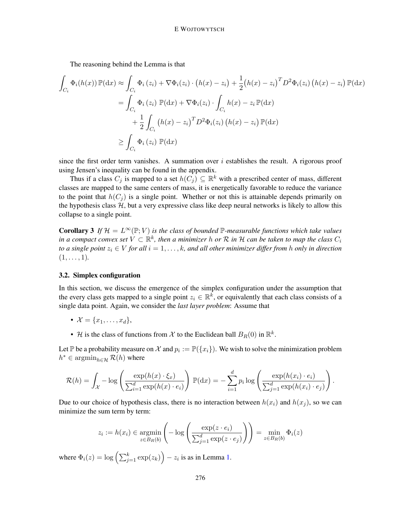The reasoning behind the Lemma is that

$$
\int_{C_i} \Phi_i(h(x)) \mathbb{P}(\mathrm{d}x) \approx \int_{C_i} \Phi_i(z_i) + \nabla \Phi_i(z_i) \cdot (h(x) - z_i) + \frac{1}{2} (h(x) - z_i)^T D^2 \Phi_i(z_i) (h(x) - z_i) \mathbb{P}(\mathrm{d}x)
$$
\n
$$
= \int_{C_i} \Phi_i(z_i) \mathbb{P}(\mathrm{d}x) + \nabla \Phi_i(z_i) \cdot \int_{C_i} h(x) - z_i \mathbb{P}(\mathrm{d}x)
$$
\n
$$
+ \frac{1}{2} \int_{C_i} (h(x) - z_i)^T D^2 \Phi_i(z_i) (h(x) - z_i) \mathbb{P}(\mathrm{d}x)
$$
\n
$$
\geq \int_{C_i} \Phi_i(z_i) \mathbb{P}(\mathrm{d}x)
$$

since the first order term vanishes. A summation over  $i$  establishes the result. A rigorous proof using Jensen's inequality can be found in the appendix.

Thus if a class  $C_j$  is mapped to a set  $h(C_j) \subseteq \mathbb{R}^k$  with a prescribed center of mass, different classes are mapped to the same centers of mass, it is energetically favorable to reduce the variance to the point that  $h(C_i)$  is a single point. Whether or not this is attainable depends primarily on the hypothesis class  $H$ , but a very expressive class like deep neural networks is likely to allow this collapse to a single point.

**Corollary 3** If  $\mathcal{H} = L^{\infty}(\mathbb{P}; V)$  *is the class of bounded*  $\mathbb{P}$ -measurable functions which take values  $i$ n a compact convex set  $V \subset \mathbb{R}^k$ , then a minimizer  $h$  or  $\mathcal R$  in  $\mathcal H$  can be taken to map the class  $C_i$ *to a single point*  $z_i \in V$  *for all*  $i = 1, \ldots, k$ *, and all other minimizer differ from h only in direction*  $(1, \ldots, 1)$ .

## 3.2. Simplex configuration

In this section, we discuss the emergence of the simplex configuration under the assumption that the every class gets mapped to a single point  $z_i \in \mathbb{R}^k$ , or equivalently that each class consists of a single data point. Again, we consider the *last layer problem*: Assume that

- $\mathcal{X} = \{x_1, \ldots, x_d\},\$
- H is the class of functions from X to the Euclidean ball  $B_R(0)$  in  $\mathbb{R}^k$ .

Let  $\mathbb P$  be a probability measure on  $\mathcal X$  and  $p_i := \mathbb P({x_i})$ . We wish to solve the minimization problem  $h^* \in \operatorname{argmin}_{h \in \mathcal{H}} \mathcal{R}(h)$  where

$$
\mathcal{R}(h) = \int_{\mathcal{X}} -\log\left(\frac{\exp(h(x)\cdot\xi_x)}{\sum_{i=1}^d \exp(h(x)\cdot e_i)}\right) \mathbb{P}(\mathrm{d}x) = -\sum_{i=1}^d p_i \log\left(\frac{\exp(h(x_i)\cdot e_i)}{\sum_{j=1}^d \exp(h(x_i)\cdot e_j)}\right).
$$

Due to our choice of hypothesis class, there is no interaction between  $h(x_i)$  and  $h(x_j)$ , so we can minimize the sum term by term:

$$
z_i := h(x_i) \in \underset{z \in B_R(b)}{\operatorname{argmin}} \left( -\log \left( \frac{\exp(z \cdot e_i)}{\sum_{j=1}^d \exp(z \cdot e_j)} \right) \right) = \underset{z \in B_R(b)}{\operatorname{min}} \Phi_i(z)
$$

<span id="page-6-0"></span>where  $\Phi_i(z) = \log \left( \sum_{j=1}^k \exp(z_k) \right) - z_i$  is as in Lemma [1.](#page-5-1)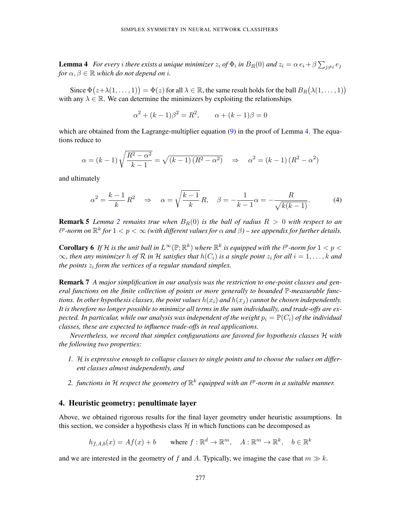**Lemma 4** For every i there exists a unique minimizer  $z_i$  of  $\Phi_i$  in  $B_R(0)$  and  $z_i = \alpha e_i + \beta \sum_{j \neq i} e_j$ *for*  $\alpha, \beta \in \mathbb{R}$  *which do not depend on i.* 

Since  $\Phi(z+\lambda(1,\ldots,1)) = \Phi(z)$  for all  $\lambda \in \mathbb{R}$ , the same result holds for the ball  $B_R(\lambda(1,\ldots,1))$ with any  $\lambda \in \mathbb{R}$ . We can determine the minimizers by exploiting the relationships

$$
\alpha^{2} + (k - 1)\beta^{2} = R^{2}, \qquad \alpha + (k - 1)\beta = 0
$$

which are obtained from the Lagrange-multiplier equation  $(9)$  in the proof of Lemma [4.](#page-6-0) The equations reduce to

$$
\alpha = (k-1)\sqrt{\frac{R^2 - \alpha^2}{k-1}} = \sqrt{(k-1)(R^2 - \alpha^2)} \quad \Rightarrow \quad \alpha^2 = (k-1)(R^2 - \alpha^2)
$$

and ultimately

<span id="page-7-1"></span>
$$
\alpha^2 = \frac{k-1}{k} R^2 \quad \Rightarrow \quad \alpha = \sqrt{\frac{k-1}{k}} R, \quad \beta = -\frac{1}{k-1} \alpha = -\frac{R}{\sqrt{k(k-1)}}.
$$
 (4)

**Remark 5** *Lemma* [2](#page-5-2) *remains true when*  $B_R(0)$  *is the ball of radius*  $R > 0$  *with respect to an*  $\ell^p$ -norm on  $\mathbb{R}^k$  for  $1 < p < \infty$  (with different values for  $\alpha$  and  $\beta$ ) – see appendix for further details.

**Corollary 6** If H is the unit ball in  $L^{\infty}(\mathbb{P}; \mathbb{R}^k)$  where  $\mathbb{R}^k$  is equipped with the  $\ell^p$ -norm for  $1 < p <$  $\infty$ , then any minimizer h of  $R$  in  $H$  satisfies that  $h(C_i)$  is a single point  $z_i$  for all  $i = 1, \ldots, k$  and *the points* z<sup>i</sup> *form the vertices of a regular standard simplex.*

Remark 7 *A major simplification in our analysis was the restriction to one-point classes and general functions on the finite collection of points or more generally to bounded* P*-measurable functions. In other hypothesis classes, the point values*  $h(x_i)$  *and*  $h(x_j)$  *cannot be chosen independently. It is therefore no longer possible to minimize all terms in the sum individually, and trade-offs are expected. In particular, while our analysis was independent of the weight*  $p_i = \mathbb{P}(C_i)$  *of the individual classes, these are expected to influence trade-offs in real applications.*

*Nevertheless, we record that simplex configurations are favored for hypothesis classes* H *with the following two properties:*

- *1.* H *is expressive enough to collapse classes to single points and to choose the values on different classes almost independently, and*
- 2. *functions in H respect the geometry of*  $\mathbb{R}^k$  equipped with an  $\ell^p$ -norm in a suitable manner.

## <span id="page-7-0"></span>4. Heuristic geometry: penultimate layer

Above, we obtained rigorous results for the final layer geometry under heuristic assumptions. In this section, we consider a hypothesis class  $H$  in which functions can be decomposed as

$$
h_{f,A,b}(x) = Af(x) + b \qquad \text{where } f: \mathbb{R}^d \to \mathbb{R}^m, \quad A: \mathbb{R}^m \to \mathbb{R}^k, \quad b \in \mathbb{R}^k
$$

and we are interested in the geometry of f and A. Typically, we imagine the case that  $m \gg k$ .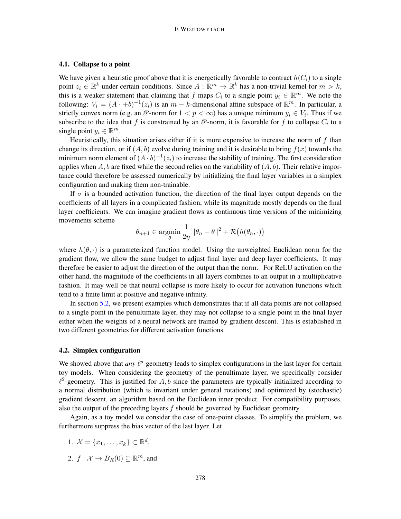## 4.1. Collapse to a point

We have given a heuristic proof above that it is energetically favorable to contract  $h(C_i)$  to a single point  $z_i \in \mathbb{R}^k$  under certain conditions. Since  $A: \mathbb{R}^m \to \mathbb{R}^k$  has a non-trivial kernel for  $m > k$ , this is a weaker statement than claiming that f maps  $C_i$  to a single point  $y_i \in \mathbb{R}^m$ . We note the following:  $V_i = (A \cdot +b)^{-1}(z_i)$  is an  $m - k$ -dimensional affine subspace of  $\mathbb{R}^m$ . In particular, a strictly convex norm (e.g. an  $\ell^p$ -norm for  $1 < p < \infty$ ) has a unique minimum  $y_i \in V_i$ . Thus if we subscribe to the idea that f is constrained by an  $\ell^p$ -norm, it is favorable for f to collapse  $C_i$  to a single point  $y_i \in \mathbb{R}^m$ .

Heuristically, this situation arises either if it is more expensive to increase the norm of  $f$  than change its direction, or if  $(A, b)$  evolve during training and it is desirable to bring  $f(x)$  towards the minimum norm element of  $(A \cdot b)^{-1}(z_i)$  to increase the stability of training. The first consideration applies when A, b are fixed while the second relies on the variability of  $(A, b)$ . Their relative importance could therefore be assessed numerically by initializing the final layer variables in a simplex configuration and making them non-trainable.

If  $\sigma$  is a bounded activation function, the direction of the final layer output depends on the coefficients of all layers in a complicated fashion, while its magnitude mostly depends on the final layer coefficients. We can imagine gradient flows as continuous time versions of the minimizing movements scheme

$$
\theta_{n+1} \in \operatorname*{argmin}_{\theta} \frac{1}{2\eta} \|\theta_n - \theta\|^2 + \mathcal{R}(h(\theta_n, \cdot))
$$

where  $h(\theta, \cdot)$  is a parameterized function model. Using the unweighted Euclidean norm for the gradient flow, we allow the same budget to adjust final layer and deep layer coefficients. It may therefore be easier to adjust the direction of the output than the norm. For ReLU activation on the other hand, the magnitude of the coefficients in all layers combines to an output in a multiplicative fashion. It may well be that neural collapse is more likely to occur for activation functions which tend to a finite limit at positive and negative infinity.

In section [5.2,](#page-12-0) we present examples which demonstrates that if all data points are not collapsed to a single point in the penultimate layer, they may not collapse to a single point in the final layer either when the weights of a neural network are trained by gradient descent. This is established in two different geometries for different activation functions

### 4.2. Simplex configuration

We showed above that *any*  $\ell^p$ -geometry leads to simplex configurations in the last layer for certain toy models. When considering the geometry of the penultimate layer, we specifically consider  $\ell^2$ -geometry. This is justified for A, b since the parameters are typically initialized according to a normal distribution (which is invariant under general rotations) and optimized by (stochastic) gradient descent, an algorithm based on the Euclidean inner product. For compatibility purposes, also the output of the preceding layers  $f$  should be governed by Euclidean geometry.

Again, as a toy model we consider the case of one-point classes. To simplify the problem, we furthermore suppress the bias vector of the last layer. Let

- 1.  $\mathcal{X} = \{x_1, \ldots, x_k\} \subset \mathbb{R}^d$ ,
- 2.  $f: \mathcal{X} \to B_R(0) \subseteq \mathbb{R}^m$ , and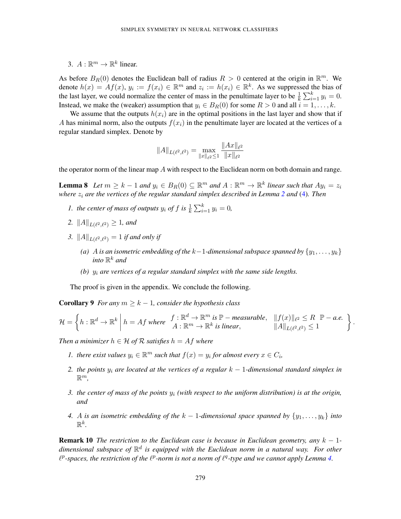3.  $A: \mathbb{R}^m \to \mathbb{R}^k$  linear.

As before  $B_R(0)$  denotes the Euclidean ball of radius  $R > 0$  centered at the origin in  $\mathbb{R}^m$ . We denote  $h(x) = Af(x)$ ,  $y_i := f(x_i) \in \mathbb{R}^m$  and  $z_i := h(x_i) \in \mathbb{R}^k$ . As we suppressed the bias of the last layer, we could normalize the center of mass in the penultimate layer to be  $\frac{1}{k} \sum_{i=1}^{k} y_i = 0$ . Instead, we make the (weaker) assumption that  $y_i \in B_R(0)$  for some  $R > 0$  and all  $i = 1, \ldots, k$ .

We assume that the outputs  $h(x_i)$  are in the optimal positions in the last layer and show that if A has minimal norm, also the outputs  $f(x_i)$  in the penultimate layer are located at the vertices of a regular standard simplex. Denote by

$$
||A||_{L(\ell^2,\ell^2)} = \max_{||x||_{\ell^2} \le 1} \frac{||Ax||_{\ell^2}}{||x||_{\ell^2}}
$$

<span id="page-9-0"></span>the operator norm of the linear map  $A$  with respect to the Euclidean norm on both domain and range.

**Lemma 8** Let  $m \geq k - 1$  and  $y_i \in B_R(0) \subseteq \mathbb{R}^m$  and  $A : \mathbb{R}^m \to \mathbb{R}^k$  linear such that  $Ay_i = z_i$ *where* z<sup>i</sup> *are the vertices of the regular standard simplex described in Lemma [2](#page-5-2) and* [\(4\)](#page-7-1)*. Then*

- *1. the center of mass of outputs*  $y_i$  *of f is*  $\frac{1}{k} \sum_{i=1}^{k} y_i = 0$ *,*
- 2.  $||A||_{L(\ell^2,\ell^2)} \geq 1$ *, and*
- *3.*  $||A||_{L(\ell^2,\ell^2)} = 1$  *if and only if* 
	- *(a) A is an isometric embedding of the*  $k-1$ *-dimensional subspace spanned by*  $\{y_1, \ldots, y_k\}$ into  $\mathbb{R}^k$  and
	- *(b)* y<sup>i</sup> *are vertices of a regular standard simplex with the same side lengths.*

The proof is given in the appendix. We conclude the following.

**Corollary 9** *For any*  $m \geq k - 1$ *, consider the hypothesis class* 

$$
\mathcal{H} = \left\{ h : \mathbb{R}^d \to \mathbb{R}^k \; \middle| \; h = Af \; \text{where} \; \begin{array}{l} f : \mathbb{R}^d \to \mathbb{R}^m \; \text{is} \; \mathbb{P} - \text{measurable}, & \|f(x)\|_{\ell^2} \leq R & \mathbb{P} - a.e. \\ A : \mathbb{R}^m \to \mathbb{R}^k \; \text{is linear}, & \|A\|_{L(\ell^2, \ell^2)} \leq 1 \end{array} \right\}
$$

.

*Then a minimizer*  $h \in H$  *of*  $R$  *satisfies*  $h = Af$  *where* 

- *1. there exist values*  $y_i \in \mathbb{R}^m$  *such that*  $f(x) = y_i$  *for almost every*  $x \in C_i$ *,*
- *2. the points*  $y_i$  *are located at the vertices of a regular*  $k 1$ *-dimensional standard simplex in* R m*,*
- *3. the center of mass of the points* y<sup>i</sup> *(with respect to the uniform distribution) is at the origin, and*
- *4.* A *is an isometric embedding of the*  $k 1$ -dimensional space spanned by  $\{y_1, \ldots, y_k\}$  *into*  $\mathbb{R}^k$ .

Remark 10 *The restriction to the Euclidean case is because in Euclidean geometry, any* k − 1 *dimensional subspace of* R d *is equipped with the Euclidean norm in a natural way. For other*  $\ell^p$ -spaces, the restriction of the  $\ell^p$ -norm is not a norm of  $\ell^q$ -type and we cannot apply Lemma [4.](#page-6-0)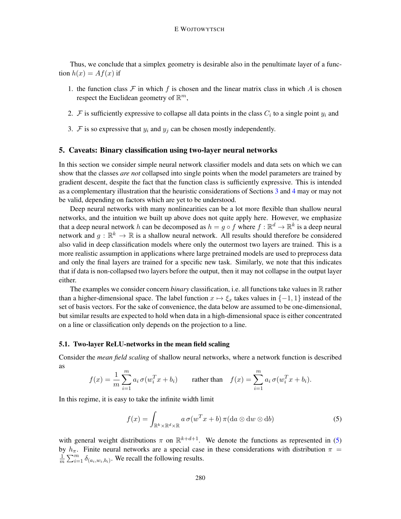Thus, we conclude that a simplex geometry is desirable also in the penultimate layer of a function  $h(x) = Af(x)$  if

- 1. the function class  $\mathcal F$  in which f is chosen and the linear matrix class in which A is chosen respect the Euclidean geometry of  $\mathbb{R}^m$ ,
- 2. F is sufficiently expressive to collapse all data points in the class  $C_i$  to a single point  $y_i$  and
- 3.  $\mathcal F$  is so expressive that  $y_i$  and  $y_j$  can be chosen mostly independently.

## <span id="page-10-0"></span>5. Caveats: Binary classification using two-layer neural networks

In this section we consider simple neural network classifier models and data sets on which we can show that the classes *are not* collapsed into single points when the model parameters are trained by gradient descent, despite the fact that the function class is sufficiently expressive. This is intended as a complementary illustration that the heuristic considerations of Sections [3](#page-5-0) and [4](#page-7-0) may or may not be valid, depending on factors which are yet to be understood.

Deep neural networks with many nonlinearities can be a lot more flexible than shallow neural networks, and the intuition we built up above does not quite apply here. However, we emphasize that a deep neural network h can be decomposed as  $h = g \circ f$  where  $f : \mathbb{R}^d \to \mathbb{R}^k$  is a deep neural network and  $g: \mathbb{R}^k \to \mathbb{R}$  is a shallow neural network. All results should therefore be considered also valid in deep classification models where only the outermost two layers are trained. This is a more realistic assumption in applications where large pretrained models are used to preprocess data and only the final layers are trained for a specific new task. Similarly, we note that this indicates that if data is non-collapsed two layers before the output, then it may not collapse in the output layer either.

The examples we consider concern *binary* classification, i.e. all functions take values in R rather than a higher-dimensional space. The label function  $x \mapsto \xi_x$  takes values in {-1, 1} instead of the set of basis vectors. For the sake of convenience, the data below are assumed to be one-dimensional, but similar results are expected to hold when data in a high-dimensional space is either concentrated on a line or classification only depends on the projection to a line.

## 5.1. Two-layer ReLU-networks in the mean field scaling

Consider the *mean field scaling* of shallow neural networks, where a network function is described as

$$
f(x) = \frac{1}{m} \sum_{i=1}^{m} a_i \sigma(w_i^T x + b_i)
$$
 rather than 
$$
f(x) = \sum_{i=1}^{m} a_i \sigma(w_i^T x + b_i).
$$

In this regime, it is easy to take the infinite width limit

<span id="page-10-1"></span>
$$
f(x) = \int_{\mathbb{R}^k \times \mathbb{R}^d \times \mathbb{R}} a \,\sigma(w^T x + b) \,\pi(\mathrm{d}a \otimes \mathrm{d}w \otimes \mathrm{d}b) \tag{5}
$$

with general weight distributions  $\pi$  on  $\mathbb{R}^{k+d+1}$ . We denote the functions as represented in [\(5\)](#page-10-1) by  $h_{\pi}$ . Finite neural networks are a special case in these considerations with distribution  $\pi$  = 1  $\frac{1}{m} \sum_{i=1}^{m} \delta_{(a_i, w_i, b_i)}$ . We recall the following results.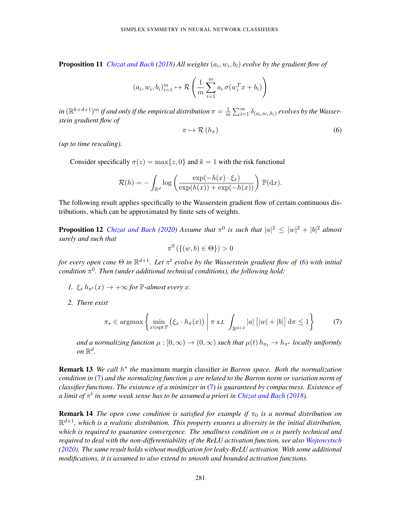**Proposition 11** *[Chizat and Bach](#page-13-2) [\(2018\)](#page-13-2)* All weights  $(a_i, w_i, b_i)$  evolve by the gradient flow of

$$
(a_i, w_i, b_i)_{i=1}^m \mapsto \mathcal{R}\left(\frac{1}{m} \sum_{i=1}^m a_i \sigma(w_i^T x + b_i)\right)
$$

in  $(\mathbb{R}^{k+d+1})^m$  if and only if the empirical distribution  $\pi = \frac{1}{m}$  $\frac{1}{m}\sum_{i=1}^m \delta_{(a_i,w_i,b_i)}$  evolves by the Wasser*stein gradient flow of*

<span id="page-11-0"></span>
$$
\pi \mapsto \mathcal{R}\left(h_{\pi}\right) \tag{6}
$$

*(up to time rescaling).*

Consider specifically  $\sigma(z) = \max\{z, 0\}$  and  $k = 1$  with the risk functional

$$
\mathcal{R}(h) = -\int_{\mathbb{R}^d} \log \left( \frac{\exp(-h(x) \cdot \xi_x)}{\exp(h(x)) + \exp(-h(x))} \right) \mathbb{P}(\mathrm{d}x).
$$

The following result applies specifically to the Wasserstein gradient flow of certain continuous distributions, which can be approximated by finite sets of weights.

**Proposition 12** *[Chizat and Bach](#page-13-3)* [\(2020\)](#page-13-3) *Assume that*  $\pi^0$  *is such that*  $|a|^2 \le |w|^2 + |b|^2$  *almost surely and such that*

$$
\pi^0\left(\{(w,b)\in\Theta\}\right)>0
$$

for every open cone  $\Theta$  in  $\mathbb{R}^{d+1}$ . Let  $\pi^t$  evolve by the Wasserstein gradient flow of [\(6\)](#page-11-0) with initial *condition* π 0 *. Then (under additional technical conditions), the following hold:*

- *1.*  $\xi_x h_{\pi^t}(x) \rightarrow +\infty$  for  $\mathbb{P}\text{-almost every } x$ .
- *2. There exist*

<span id="page-11-1"></span>
$$
\pi_* \in \operatorname{argmax} \left\{ \min_{x \in \operatorname{spt} \mathbb{P}} \left( \xi_x \cdot h_\pi(x) \right) \middle| \pi \text{ s.t. } \int_{\mathbb{R}^{d+2}} |a| \left[ |w| + |b| \right] d\pi \le 1 \right\} \tag{7}
$$

*and a normalizing function*  $\mu : [0, \infty) \to (0, \infty)$  *such that*  $\mu(t) h_{\pi_t} \to h_{\pi^*}$  *locally uniformly* on  $\mathbb{R}^d$ .

**Remark 13** We call  $h^*$  the maximum margin classifier in Barron space. Both the normalization *condition in*  $(7)$  *and the normalizing function*  $\mu$  *are related to the Barron norm or variation norm of classifier functions. The existence of a minimizer in* [\(7\)](#page-11-1) *is guaranteed by compactness. Existence of*  $a$  limit of  $\pi^t$  in some weak sense has to be assumed a priori in [Chizat and Bach](#page-13-2) [\(2018\)](#page-13-2).

**Remark 14** *The open cone condition is satisfied for example if*  $\pi_0$  *is a normal distribution on* R <sup>d</sup>+1*, which is a realistic distribution. This property ensures a diversity in the initial distribution, which is required to guarantee convergence. The smallness condition on* a *is purely technical and required to deal with the non-differentiability of the ReLU activation function, see also [Wojtowytsch](#page-14-6) [\(2020\)](#page-14-6). The same result holds without modification for leaky-ReLU activation. With some additional modifications, it is assumed to also extend to smooth and bounded activation functions.*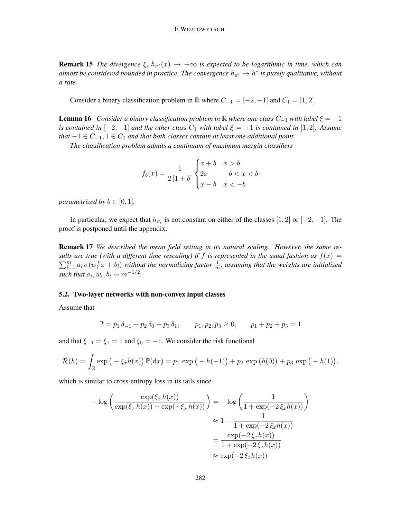**Remark 15** *The divergence*  $\xi_x h_{\pi^t}(x) \to +\infty$  *is expected to be logarithmic in time, which can* almost be considered bounded in practice. The convergence  $h_{\pi^t} \to h^*$  is purely qualitative, without *a rate.*

Consider a binary classification problem in R where  $C_{-1} = [-2, -1]$  and  $C_1 = [1, 2]$ .

<span id="page-12-1"></span>**Lemma 16** *Consider a binary classification problem in* R *where one class*  $C_{-1}$  *with label*  $\xi = -1$ *is contained in*  $[-2, -1]$  *and the other class*  $C_1$  *with label*  $\xi = +1$  *is contained in* [1, 2]*. Assume that*  $-1 \in C_{-1}$ ,  $1 \in C_1$  *and that both classes contain at least one additional point.* 

*The classification problem admits a continuum of maximum margin classifiers*

$$
f_b(x) = \frac{1}{2\left[1+b\right]} \begin{cases} x+b & x > b \\ 2x & -b < x < b \\ x-b & x < -b \end{cases}
$$

*parametrized by*  $b \in [0, 1]$ *.* 

In particular, we expect that  $h_{\pi_t}$  is not constant on either of the classes [1, 2] or [-2, -1]. The proof is postponed until the appendix.

Remark 17 *We described the mean field setting in its natural scaling. However, the same results are true (with a different time rescaling) if f is represented in the usual fashion as*  $f(x) =$  $\sum_{i=1}^m a_i \sigma(w_i^T x + b_i)$  without the normalizing factor  $\frac{1}{m}$ , assuming that the weights are initialized such that  $a_i, w_i, b_i \sim m^{-1/2}$ .

#### <span id="page-12-0"></span>5.2. Two-layer networks with non-convex input classes

Assume that

$$
\mathbb{P} = p_1 \delta_{-1} + p_2 \delta_0 + p_3 \delta_1, \qquad p_1, p_2, p_3 \ge 0, \qquad p_1 + p_2 + p_3 = 1
$$

and that  $\xi_{-1} = \xi_1 = 1$  and  $\xi_0 = -1$ . We consider the risk functional

$$
\mathcal{R}(h) = \int_{\mathbb{R}} \exp(-\xi_x h(x)) \, \mathbb{P}(\mathrm{d}x) = p_1 \, \exp(-h(-1)) + p_2 \, \exp(h(0)) + p_3 \, \exp(-h(1)),
$$

which is similar to cross-entropy loss in its tails since

$$
-\log\left(\frac{\exp(\xi_x h(x))}{\exp(\xi_x h(x)) + \exp(-\xi_x h(x))}\right) = -\log\left(\frac{1}{1 + \exp(-2\,\xi_x h(x))}\right)
$$

$$
\approx 1 - \frac{1}{1 + \exp(-2\,\xi_x h(x))}
$$

$$
= \frac{\exp(-2\,\xi_x h(x))}{1 + \exp(-2\,\xi_x h(x))}
$$

$$
\approx \exp(-2\,\xi_x h(x))
$$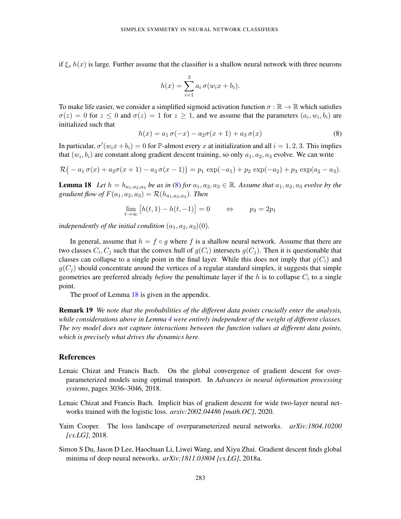if  $\xi_x h(x)$  is large. Further assume that the classifier is a shallow neural network with three neurons

$$
h(x) = \sum_{i=1}^{3} a_i \sigma(w_i x + b_i).
$$

To make life easier, we consider a simplified sigmoid activation function  $\sigma : \mathbb{R} \to \mathbb{R}$  which satisfies  $\sigma(z) = 0$  for  $z \leq 0$  and  $\sigma(z) = 1$  for  $z \geq 1$ , and we assume that the parameters  $(a_i, w_i, b_i)$  are initialized such that

<span id="page-13-4"></span>
$$
h(x) = a_1 \sigma(-x) - a_2 \sigma(x+1) + a_3 \sigma(x)
$$
 (8)

In particular,  $\sigma'(w_ix+b_i) = 0$  for  $\mathbb P$ -almost every x at initialization and all  $i = 1, 2, 3$ . This implies that  $(w_i, b_i)$  are constant along gradient descent training, so only  $a_1, a_2, a_3$  evolve. We can write

$$
\mathcal{R}(-a_1\sigma(x) + a_2\sigma(x+1) - a_3\sigma(x-1)) = p_1 \exp(-a_1) + p_2 \exp(-a_2) + p_3 \exp(a_2 - a_3).
$$

<span id="page-13-5"></span>**Lemma 18** Let  $h = h_{a_1, a_2, a_3}$  be as in [\(8\)](#page-13-4) for  $a_1, a_2, a_3 \in \mathbb{R}$ . Assume that  $a_1, a_2, a_3$  evolve by the  $gradient$  flow of  $F(a_1, a_2, a_3) = \mathcal{R}(h_{a_1, a_2, a_3})$ . Then

$$
\lim_{t \to \infty} [h(t, 1) - h(t, -1)] = 0 \qquad \Leftrightarrow \qquad p_3 = 2p_1
$$

*independently of the initial condition*  $(a_1, a_2, a_3)(0)$ *.* 

In general, assume that  $h = f \circ g$  where f is a shallow neural network. Assume that there are two classes  $C_i, C_j$  such that the convex hull of  $g(C_i)$  intersects  $g(C_j)$ . Then it is questionable that classes can collapse to a single point in the final layer. While this does not imply that  $g(C_i)$  and  $g(C_i)$  should concentrate around the vertices of a regular standard simplex, it suggests that simple geometries are preferred already *before* the penultimate layer if the  $h$  is to collapse  $C_i$  to a single point.

The proof of Lemma [18](#page-13-5) is given in the appendix.

Remark 19 *We note that the probabilities of the different data points crucially enter the analysis, while considerations above in Lemma [4](#page-6-0) were entirely independent of the weight of different classes. The toy model does not capture interactions between the function values at different data points, which is precisely what drives the dynamics here.*

## References

- <span id="page-13-2"></span>Lenaic Chizat and Francis Bach. On the global convergence of gradient descent for overparameterized models using optimal transport. In *Advances in neural information processing systems*, pages 3036–3046, 2018.
- <span id="page-13-3"></span>Lenaic Chizat and Francis Bach. Implicit bias of gradient descent for wide two-layer neural networks trained with the logistic loss. *arxiv:2002.04486 [math.OC]*, 2020.
- <span id="page-13-0"></span>Yaim Cooper. The loss landscape of overparameterized neural networks. *arXiv:1804.10200 [cs.LG]*, 2018.
- <span id="page-13-1"></span>Simon S Du, Jason D Lee, Haochuan Li, Liwei Wang, and Xiyu Zhai. Gradient descent finds global minima of deep neural networks. *arXiv:1811.03804 [cs.LG]*, 2018a.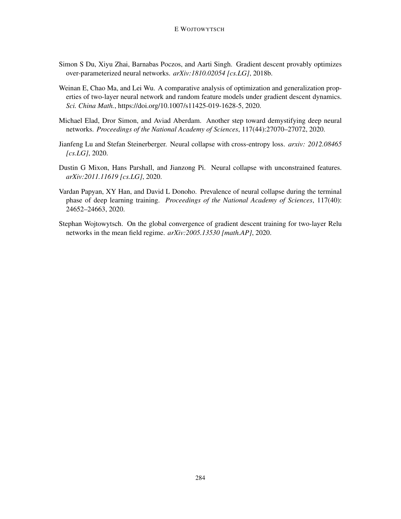- <span id="page-14-2"></span>Simon S Du, Xiyu Zhai, Barnabas Poczos, and Aarti Singh. Gradient descent provably optimizes over-parameterized neural networks. *arXiv:1810.02054 [cs.LG]*, 2018b.
- <span id="page-14-3"></span>Weinan E, Chao Ma, and Lei Wu. A comparative analysis of optimization and generalization properties of two-layer neural network and random feature models under gradient descent dynamics. *Sci. China Math.*, https://doi.org/10.1007/s11425-019-1628-5, 2020.
- <span id="page-14-5"></span>Michael Elad, Dror Simon, and Aviad Aberdam. Another step toward demystifying deep neural networks. *Proceedings of the National Academy of Sciences*, 117(44):27070–27072, 2020.
- <span id="page-14-4"></span>Jianfeng Lu and Stefan Steinerberger. Neural collapse with cross-entropy loss. *arxiv: 2012.08465 [cs.LG]*, 2020.
- <span id="page-14-1"></span>Dustin G Mixon, Hans Parshall, and Jianzong Pi. Neural collapse with unconstrained features. *arXiv:2011.11619 [cs.LG]*, 2020.
- <span id="page-14-0"></span>Vardan Papyan, XY Han, and David L Donoho. Prevalence of neural collapse during the terminal phase of deep learning training. *Proceedings of the National Academy of Sciences*, 117(40): 24652–24663, 2020.
- <span id="page-14-6"></span>Stephan Wojtowytsch. On the global convergence of gradient descent training for two-layer Relu networks in the mean field regime. *arXiv:2005.13530 [math.AP]*, 2020.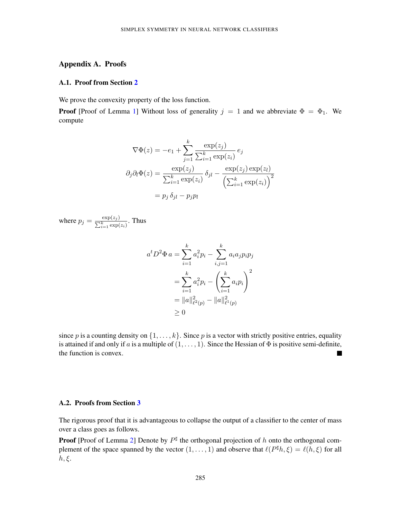## Appendix A. Proofs

## A.1. Proof from Section [2](#page-3-0)

We prove the convexity property of the loss function.

**Proof** [Proof of Lemma [1\]](#page-5-1) Without loss of generality  $j = 1$  and we abbreviate  $\Phi = \Phi_1$ . We compute

$$
\nabla \Phi(z) = -e_1 + \sum_{j=1}^{k} \frac{\exp(z_j)}{\sum_{i=1}^{k} \exp(z_i)} e_j
$$

$$
\partial_j \partial_l \Phi(z) = \frac{\exp(z_j)}{\sum_{i=1}^{k} \exp(z_i)} \delta_{jl} - \frac{\exp(z_j) \exp(z_l)}{\left(\sum_{i=1}^{k} \exp(z_i)\right)^2}
$$

$$
= p_j \delta_{jl} - p_j p_l
$$

where  $p_j = \frac{\exp(z_j)}{\sum_{k}^k \exp(z_k)}$  $\frac{\exp(z_j)}{\sum_{i=1}^k \exp(z_i)}$ . Thus

$$
a^t D^2 \Phi a = \sum_{i=1}^k a_i^2 p_i - \sum_{i,j=1}^k a_i a_j p_i p_j
$$
  
= 
$$
\sum_{i=1}^k a_i^2 p_i - \left(\sum_{i=1}^k a_i p_i\right)^2
$$
  
= 
$$
||a||_{\ell^2(p)}^2 - ||a||_{\ell^1(p)}^2
$$
  

$$
\geq 0
$$

since p is a counting density on  $\{1, \ldots, k\}$ . Since p is a vector with strictly positive entries, equality is attained if and only if a is a multiple of  $(1, \ldots, 1)$ . Since the Hessian of  $\Phi$  is positive semi-definite, the function is convex.  $\blacksquare$ 

## A.2. Proofs from Section [3](#page-5-0)

The rigorous proof that it is advantageous to collapse the output of a classifier to the center of mass over a class goes as follows.

**Proof** [Proof of Lemma [2\]](#page-5-2) Denote by  $P^{\sharp}$  the orthogonal projection of h onto the orthogonal complement of the space spanned by the vector  $(1,\ldots,1)$  and observe that  $\ell(P^{\sharp}h,\xi) = \ell(h,\xi)$  for all  $h, \xi$ .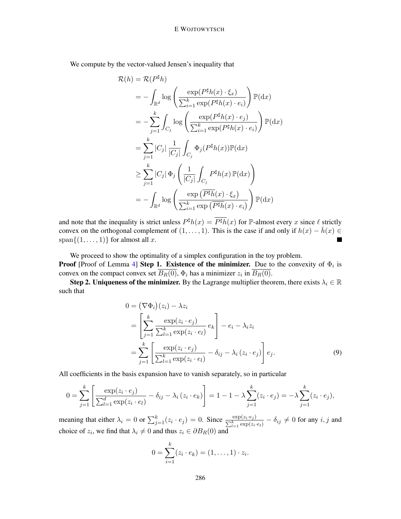We compute by the vector-valued Jensen's inequality that

$$
\mathcal{R}(h) = \mathcal{R}(P^{\sharp}h)
$$
\n
$$
= -\int_{\mathbb{R}^d} \log \left( \frac{\exp(P^{\sharp}h(x) \cdot \xi_x)}{\sum_{i=1}^k \exp(P^{\sharp}h(x) \cdot e_i)} \right) \mathbb{P}(\mathrm{d}x)
$$
\n
$$
= -\sum_{j=1}^k \int_{C_j} \log \left( \frac{\exp(P^{\sharp}h(x) \cdot e_j)}{\sum_{i=1}^k \exp(P^{\sharp}h(x) \cdot e_i)} \right) \mathbb{P}(\mathrm{d}x)
$$
\n
$$
= \sum_{j=1}^k |C_j| \frac{1}{|C_j|} \int_{C_j} \Phi_j(P^{\sharp}h(x)) \mathbb{P}(\mathrm{d}x)
$$
\n
$$
\geq \sum_{j=1}^k |C_j| \Phi_j \left( \frac{1}{|C_j|} \int_{C_j} P^{\sharp}h(x) \mathbb{P}(\mathrm{d}x) \right)
$$
\n
$$
= -\int_{\mathbb{R}^d} \log \left( \frac{\exp(\overline{P^{\sharp}h}(x) \cdot \xi_x)}{\sum_{i=1}^k \exp(\overline{P^{\sharp}h}(x) \cdot e_i)} \right) \mathbb{P}(\mathrm{d}x)
$$

and note that the inequality is strict unless  $P^{\sharp}h(x) = \overline{P^{\sharp}h}(x)$  for  $\mathbb{P}\text{-almost every } x$  since  $\ell$  strictly convex on the orthogonal complement of  $(1, \ldots, 1)$ . This is the case if and only if  $h(x) - \bar{h}(x) \in$ span $\{(1, \ldots, 1)\}\$ for almost all x. a sa

We proceed to show the optimality of a simplex configuration in the toy problem. **Proof** [Proof of Lemma [4\]](#page-6-0) **Step 1. Existence of the minimizer.** Due to the convexity of  $\Phi_i$  is convex on the compact convex set  $B_R(0)$ ,  $\Phi_i$  has a minimizer  $z_i$  in  $B_R(0)$ .

Step 2. Uniqueness of the minimizer. By the Lagrange multiplier theorem, there exists  $\lambda_i \in \mathbb{R}$ such that

$$
0 = (\nabla \Phi_i)(z_i) - \lambda z_i
$$
  
= 
$$
\left[ \sum_{j=1}^k \frac{\exp(z_i \cdot e_j)}{\sum_{l=1}^k \exp(z_i \cdot e_l)} e_k \right] - e_i - \lambda_i z_i
$$
  
= 
$$
\sum_{j=1}^k \left[ \frac{\exp(z_i \cdot e_j)}{\sum_{l=1}^k \exp(z_i \cdot e_l)} - \delta_{ij} - \lambda_i (z_i \cdot e_j) \right] e_j.
$$
 (9)

All coefficients in the basis expansion have to vanish separately, so in particular

$$
0 = \sum_{j=1}^{k} \left[ \frac{\exp(z_i \cdot e_j)}{\sum_{l=1}^{d} \exp(z_i \cdot e_l)} - \delta_{ij} - \lambda_i (z_i \cdot e_k) \right] = 1 - 1 - \lambda \sum_{j=1}^{k} (z_i \cdot e_j) = -\lambda \sum_{j=1}^{k} (z_i \cdot e_j),
$$

meaning that either  $\lambda_i = 0$  or  $\sum_{j=1}^k (z_i \cdot e_j) = 0$ . Since  $\frac{\exp(z_i \cdot e_j)}{\sum_{l=1}^k \exp(z_i \cdot e_l)} - \delta_{ij} \neq 0$  for any  $i, j$  and choice of  $z_i$ , we find that  $\lambda_i \neq 0$  and thus  $z_i \in \partial B_R(0)$  and

<span id="page-16-0"></span>
$$
0 = \sum_{i=1}^{k} (z_i \cdot e_k) = (1, \dots, 1) \cdot z_i.
$$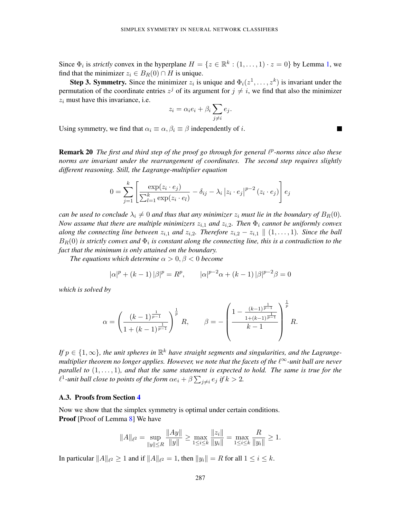Since  $\Phi_i$  is *strictly* convex in the hyperplane  $H = \{z \in \mathbb{R}^k : (1, \ldots, 1) \cdot z = 0\}$  $H = \{z \in \mathbb{R}^k : (1, \ldots, 1) \cdot z = 0\}$  $H = \{z \in \mathbb{R}^k : (1, \ldots, 1) \cdot z = 0\}$  by Lemma 1, we find that the minimizer  $z_i \in B_R(0) \cap H$  is unique.

**Step 3. Symmetry.** Since the minimizer  $z_i$  is unique and  $\Phi_i(z^1, \ldots, z^k)$  is invariant under the permutation of the coordinate entries  $z^{j}$  of its argument for  $j \neq i$ , we find that also the minimizer  $z_i$  must have this invariance, i.e.

$$
z_i = \alpha_i e_i + \beta_i \sum_{j \neq i} e_j.
$$

Using symmetry, we find that  $\alpha_i \equiv \alpha, \beta_i \equiv \beta$  independently of *i*.

**Remark 20** The first and third step of the proof go through for general  $\ell^p$ -norms since also these *norms are invariant under the rearrangement of coordinates. The second step requires slightly different reasoning. Still, the Lagrange-multiplier equation*

$$
0 = \sum_{j=1}^{k} \left[ \frac{\exp(z_i \cdot e_j)}{\sum_{l=1}^{k} \exp(z_i \cdot e_l)} - \delta_{ij} - \lambda_i |z_i \cdot e_j|^{p-2} (z_i \cdot e_j) \right] e_j
$$

*can be used to conclude*  $\lambda_i \neq 0$  *and thus that any minimizer*  $z_i$  *must lie in the boundary of*  $B_R(0)$ *. Now assume that there are multiple minimizers*  $z_{i,1}$  *and*  $z_{i,2}$ *. Then*  $\Phi_i$  *cannot be uniformly convex along the connecting line between*  $z_{i,1}$  *and*  $z_{i,2}$ *. Therefore*  $z_{i,2} - z_{i,1} \parallel (1, \ldots, 1)$ *. Since the ball*  $B_R(0)$  is strictly convex and  $\Phi_i$  is constant along the connecting line, this is a contradiction to the *fact that the minimum is only attained on the boundary.*

*The equations which determine*  $\alpha > 0, \beta < 0$  *become* 

$$
|\alpha|^p + (k-1)|\beta|^p = R^p
$$
,  $|\alpha|^{p-2}\alpha + (k-1)|\beta|^{p-2}\beta = 0$ 

*which is solved by*

$$
\alpha = \left(\frac{(k-1)^{\frac{1}{p-1}}}{1+(k-1)^{\frac{1}{p-1}}}\right)^{\frac{1}{p}} R, \qquad \beta = -\left(\frac{1 - \frac{(k-1)^{\frac{1}{p-1}}}{1+(k-1)^{\frac{1}{p-1}}}}{k-1}\right)^{\frac{1}{p}} R.
$$

If  $p \in \{1, \infty\}$ , the unit spheres in  $\mathbb{R}^k$  have straight segments and singularities, and the Lagrange*multiplier theorem no longer applies. However, we note that the facets of the l*<sup>∞</sup>-unit ball are never *parallel to* (1, . . . , 1)*, and that the same statement is expected to hold. The same is true for the*  $\ell^1$ -unit ball close to points of the form  $\alpha e_i + \beta \sum_{j \neq i} e_j$  if  $k > 2$ .

#### A.3. Proofs from Section [4](#page-7-0)

Now we show that the simplex symmetry is optimal under certain conditions. **Proof** [Proof of Lemma [8\]](#page-9-0) We have

$$
||A||_{\ell^2} = \sup_{||y|| \le R} \frac{||Ay||}{||y||} \ge \max_{1 \le i \le k} \frac{||z_i||}{||y_i||} = \max_{1 \le i \le k} \frac{R}{||y_i||} \ge 1.
$$

In particular  $||A||_{\ell^2} \ge 1$  and if  $||A||_{\ell^2} = 1$ , then  $||y_i|| = R$  for all  $1 \le i \le k$ .

**The State**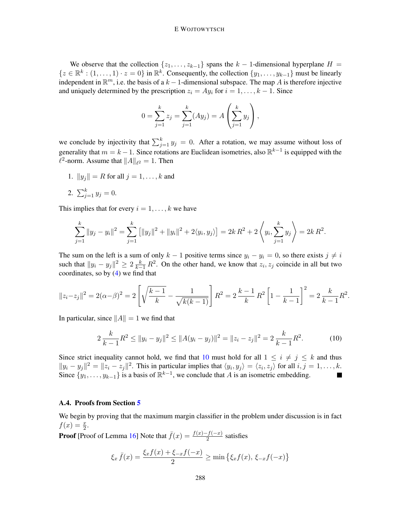### E WOJTOWYTSCH

We observe that the collection  $\{z_1, \ldots, z_{k-1}\}$  spans the  $k-1$ -dimensional hyperplane  $H =$  $\{z \in \mathbb{R}^k : (1, \ldots, 1) \cdot z = 0\}$  in  $\mathbb{R}^k$ . Consequently, the collection  $\{y_1, \ldots, y_{k-1}\}$  must be linearly independent in  $\mathbb{R}^m$ , i.e. the basis of a  $k-1$ -dimensional subspace. The map A is therefore injective and uniquely determined by the prescription  $z_i = Ay_i$  for  $i = 1, ..., k - 1$ . Since

$$
0 = \sum_{j=1}^{k} z_j = \sum_{j=1}^{k} (Ay_j) = A\left(\sum_{j=1}^{k} y_j\right),
$$

we conclude by injectivity that  $\sum_{j=1}^{k} y_j = 0$ . After a rotation, we may assume without loss of generality that  $m = k - 1$ . Since rotations are Euclidean isometries, also  $\mathbb{R}^{k-1}$  is equipped with the  $\ell^2$ -norm. Assume that  $||A||_{\ell^2} = 1$ . Then

1.  $||y_j|| = R$  for all  $j = 1, ..., k$  and

2. 
$$
\sum_{j=1}^{k} y_j = 0.
$$

This implies that for every  $i = 1, \ldots, k$  we have

$$
\sum_{j=1}^k \|y_j - y_i\|^2 = \sum_{j=1}^k \left[ \|y_j\|^2 + \|y_i\|^2 + 2\langle y_i, y_j \rangle \right] = 2k R^2 + 2 \left\langle y_i, \sum_{j=1}^k y_j \right\rangle = 2k R^2.
$$

The sum on the left is a sum of only  $k - 1$  positive terms since  $y_i - y_i = 0$ , so there exists  $j \neq i$ such that  $||y_i - y_j||^2 \ge 2 \frac{k}{k-1} R^2$ . On the other hand, we know that  $z_i, z_j$  coincide in all but two coordinates, so by  $(4)$  we find that

$$
||z_i - z_j||^2 = 2(\alpha - \beta)^2 = 2\left[\sqrt{\frac{k-1}{k}} - \frac{1}{\sqrt{k(k-1)}}\right]R^2 = 2\frac{k-1}{k}R^2\left[1 - \frac{1}{k-1}\right]^2 = 2\frac{k}{k-1}R^2.
$$

In particular, since  $||A|| = 1$  we find that

<span id="page-18-0"></span>
$$
2\frac{k}{k-1}R^2 \le ||y_i - y_j||^2 \le ||A(y_i - y_j)||^2 = ||z_i - z_j||^2 = 2\frac{k}{k-1}R^2.
$$
 (10)

Since strict inequality cannot hold, we find that [10](#page-18-0) must hold for all  $1 \leq i \neq j \leq k$  and thus  $||y_i - y_j||^2 = ||z_i - z_j||^2$ . This in particular implies that  $\langle y_i, y_j \rangle = \langle z_i, z_j \rangle$  for all  $i, j = 1, ..., k$ . Since  $\{y_1, \ldots, y_{k-1}\}\$  is a basis of  $\mathbb{R}^{k-1}$ , we conclude that A is an isometric embedding.

## A.4. Proofs from Section [5](#page-10-0)

We begin by proving that the maximum margin classifier in the problem under discussion is in fact  $f(x) = \frac{x}{2}.$ 

**Proof** [Proof of Lemma [16\]](#page-12-1) Note that  $\bar{f}(x) = \frac{f(x) - f(-x)}{2}$  satisfies

$$
\xi_x \bar{f}(x) = \frac{\xi_x f(x) + \xi_{-x} f(-x)}{2} \ge \min \{ \xi_x f(x), \xi_{-x} f(-x) \}
$$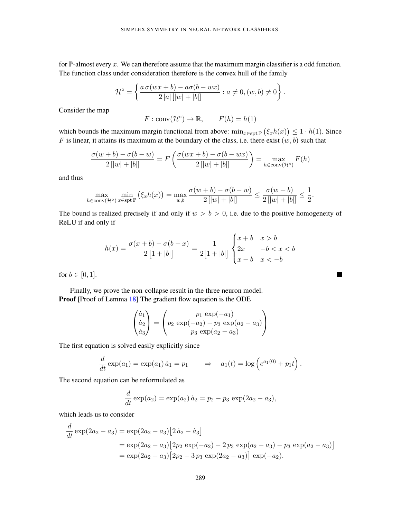for  $\mathbb P$ -almost every x. We can therefore assume that the maximum margin classifier is a odd function. The function class under consideration therefore is the convex hull of the family

$$
\mathcal{H}^{\circ} = \left\{ \frac{a \sigma(wx+b) - a\sigma(b-wx)}{2|a| [|w|+|b|]} : a \neq 0, (w, b) \neq 0 \right\}.
$$

Consider the map

$$
F: \text{conv}(\mathcal{H}^{\circ}) \to \mathbb{R}, \qquad F(h) = h(1)
$$

which bounds the maximum margin functional from above:  $\min_{x \in \text{spt } \mathbb{P}} (\xi_x h(x)) \leq 1 \cdot h(1)$ . Since F is linear, it attains its maximum at the boundary of the class, i.e. there exist  $(w, b)$  such that

$$
\frac{\sigma(w+b)-\sigma(b-w)}{2[|w|+|b|]} = F\left(\frac{\sigma(wx+b)-\sigma(b-wx)}{2[|w|+|b|]}\right) = \max_{h \in \text{conv}(\mathcal{H}^{\circ})} F(h)
$$

and thus

$$
\max_{h \in \text{conv}(\mathcal{H}^{\circ})} \min_{x \in \text{spt}(\mathbb{P})} (\xi_x h(x)) = \max_{w,b} \frac{\sigma(w+b) - \sigma(b-w)}{2[|w|+|b|]} \le \frac{\sigma(w+b)}{2[|w|+|b|]} \le \frac{1}{2}
$$

.

 $\blacksquare$ 

The bound is realized precisely if and only if  $w > b > 0$ , i.e. due to the positive homogeneity of ReLU if and only if

$$
h(x) = \frac{\sigma(x+b) - \sigma(b-x)}{2[1+|b|]} = \frac{1}{2[1+|b|]} \begin{cases} x+b & x > b \\ 2x & -b < x < b \\ x-b & x < -b \end{cases}
$$

for  $b \in [0, 1]$ .

Finally, we prove the non-collapse result in the three neuron model. Proof [Proof of Lemma [18\]](#page-13-5) The gradient flow equation is the ODE

$$
\begin{pmatrix} \dot{a}_1 \\ \dot{a}_2 \\ \dot{a}_3 \end{pmatrix} = \begin{pmatrix} p_1 \exp(-a_1) \\ p_2 \exp(-a_2) - p_3 \exp(a_2 - a_3) \\ p_3 \exp(a_2 - a_3) \end{pmatrix}
$$

The first equation is solved easily explicitly since

$$
\frac{d}{dt}\exp(a_1) = \exp(a_1)\dot{a}_1 = p_1 \qquad \Rightarrow \qquad a_1(t) = \log\left(e^{a_1(0)} + p_1t\right).
$$

The second equation can be reformulated as

$$
\frac{d}{dt}\exp(a_2) = \exp(a_2) \dot{a}_2 = p_2 - p_3 \exp(2a_2 - a_3),
$$

which leads us to consider

d

$$
\frac{d}{dt} \exp(2a_2 - a_3) = \exp(2a_2 - a_3) [2 \dot{a}_2 - \dot{a}_3]
$$
  
=  $\exp(2a_2 - a_3) [2p_2 \exp(-a_2) - 2p_3 \exp(a_2 - a_3) - p_3 \exp(a_2 - a_3)]$   
=  $\exp(2a_2 - a_3) [2p_2 - 3p_3 \exp(2a_2 - a_3)] \exp(-a_2).$